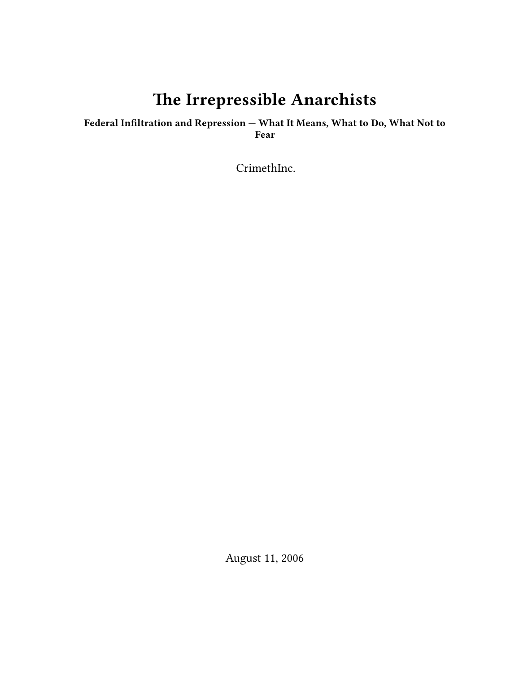# **The Irrepressible Anarchists**

## **Federal Infiltration and Repression — What It Means, What to Do, What Not to Fear**

CrimethInc.

August 11, 2006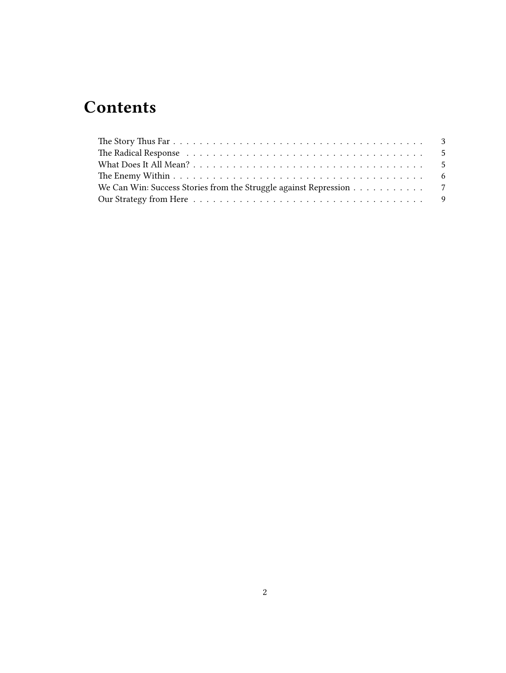# **Contents**

| We Can Win: Success Stories from the Struggle against Repression 7 |  |  |  |  |  |  |
|--------------------------------------------------------------------|--|--|--|--|--|--|
|                                                                    |  |  |  |  |  |  |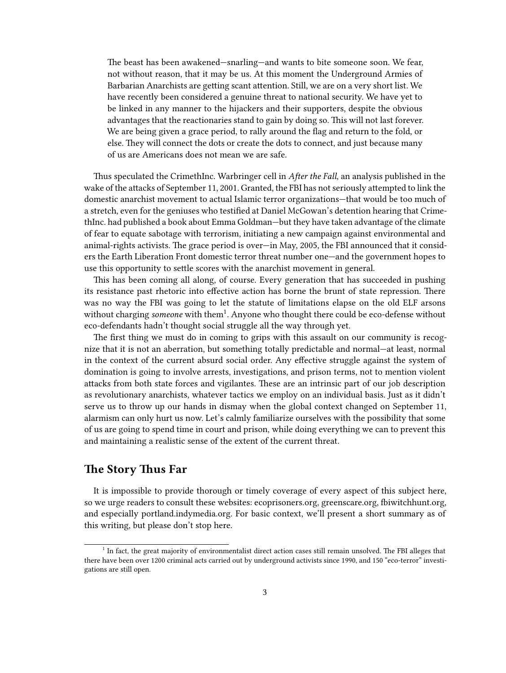The beast has been awakened—snarling—and wants to bite someone soon. We fear, not without reason, that it may be us. At this moment the Underground Armies of Barbarian Anarchists are getting scant attention. Still, we are on a very short list. We have recently been considered a genuine threat to national security. We have yet to be linked in any manner to the hijackers and their supporters, despite the obvious advantages that the reactionaries stand to gain by doing so. This will not last forever. We are being given a grace period, to rally around the flag and return to the fold, or else. They will connect the dots or create the dots to connect, and just because many of us are Americans does not mean we are safe.

Thus speculated the CrimethInc. Warbringer cell in *After the Fall*, an analysis published in the wake of the attacks of September 11, 2001. Granted, the FBI has not seriously attempted to link the domestic anarchist movement to actual Islamic terror organizations—that would be too much of a stretch, even for the geniuses who testified at Daniel McGowan's detention hearing that CrimethInc. had published a book about Emma Goldman—but they have taken advantage of the climate of fear to equate sabotage with terrorism, initiating a new campaign against environmental and animal-rights activists. The grace period is over—in May, 2005, the FBI announced that it considers the Earth Liberation Front domestic terror threat number one—and the government hopes to use this opportunity to settle scores with the anarchist movement in general.

This has been coming all along, of course. Every generation that has succeeded in pushing its resistance past rhetoric into effective action has borne the brunt of state repression. There was no way the FBI was going to let the statute of limitations elapse on the old ELF arsons without charging *someone* with them<sup>1</sup>. Anyone who thought there could be eco-defense without eco-defendants hadn't thought social struggle all the way through yet.

The first thing we must do in coming to grips with this assault on our community is recognize that it is not an aberration, but something totally predictable and normal—at least, normal in the context of the current absurd social order. Any effective struggle against the system of domination is going to involve arrests, investigations, and prison terms, not to mention violent attacks from both state forces and vigilantes. These are an intrinsic part of our job description as revolutionary anarchists, whatever tactics we employ on an individual basis. Just as it didn't serve us to throw up our hands in dismay when the global context changed on September 11, alarmism can only hurt us now. Let's calmly familiarize ourselves with the possibility that some of us are going to spend time in court and prison, while doing everything we can to prevent this and maintaining a realistic sense of the extent of the current threat.

## <span id="page-2-0"></span>**The Story Thus Far**

It is impossible to provide thorough or timely coverage of every aspect of this subject here, so we urge readers to consult these websites: ecoprisoners.org, greenscare.org, fbiwitchhunt.org, and especially portland.indymedia.org. For basic context, we'll present a short summary as of this writing, but please don't stop here.

<sup>&</sup>lt;sup>1</sup> In fact, the great majority of environmentalist direct action cases still remain unsolved. The FBI alleges that there have been over 1200 criminal acts carried out by underground activists since 1990, and 150 "eco-terror" investigations are still open.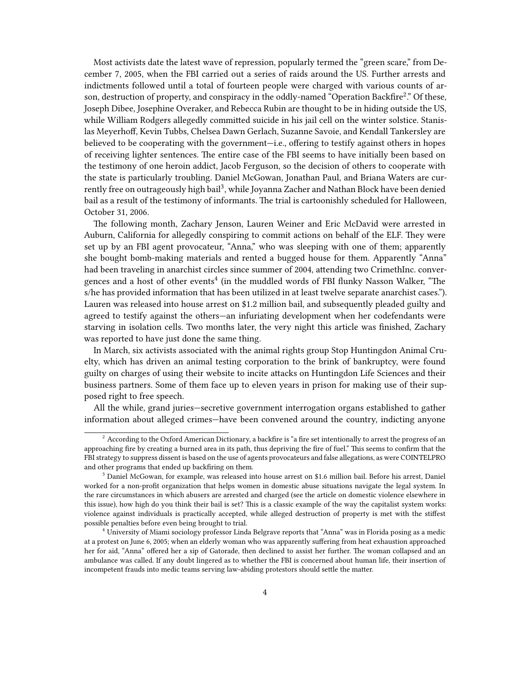Most activists date the latest wave of repression, popularly termed the "green scare," from December 7, 2005, when the FBI carried out a series of raids around the US. Further arrests and indictments followed until a total of fourteen people were charged with various counts of arson, destruction of property, and conspiracy in the oddly-named "Operation Backfire<sup>2</sup>." Of these, Joseph Dibee, Josephine Overaker, and Rebecca Rubin are thought to be in hiding outside the US, while William Rodgers allegedly committed suicide in his jail cell on the winter solstice. Stanislas Meyerhoff, Kevin Tubbs, Chelsea Dawn Gerlach, Suzanne Savoie, and Kendall Tankersley are believed to be cooperating with the government—i.e., offering to testify against others in hopes of receiving lighter sentences. The entire case of the FBI seems to have initially been based on the testimony of one heroin addict, Jacob Ferguson, so the decision of others to cooperate with the state is particularly troubling. Daniel McGowan, Jonathan Paul, and Briana Waters are currently free on outrageously high bail<sup>3</sup>, while Joyanna Zacher and Nathan Block have been denied bail as a result of the testimony of informants. The trial is cartoonishly scheduled for Halloween, October 31, 2006.

The following month, Zachary Jenson, Lauren Weiner and Eric McDavid were arrested in Auburn, California for allegedly conspiring to commit actions on behalf of the ELF. They were set up by an FBI agent provocateur, "Anna," who was sleeping with one of them; apparently she bought bomb-making materials and rented a bugged house for them. Apparently "Anna" had been traveling in anarchist circles since summer of 2004, attending two CrimethInc. convergences and a host of other events<sup>4</sup> (in the muddled words of FBI flunky Nasson Walker, "The s/he has provided information that has been utilized in at least twelve separate anarchist cases."). Lauren was released into house arrest on \$1.2 million bail, and subsequently pleaded guilty and agreed to testify against the others—an infuriating development when her codefendants were starving in isolation cells. Two months later, the very night this article was finished, Zachary was reported to have just done the same thing.

In March, six activists associated with the animal rights group Stop Huntingdon Animal Cruelty, which has driven an animal testing corporation to the brink of bankruptcy, were found guilty on charges of using their website to incite attacks on Huntingdon Life Sciences and their business partners. Some of them face up to eleven years in prison for making use of their supposed right to free speech.

All the while, grand juries—secretive government interrogation organs established to gather information about alleged crimes—have been convened around the country, indicting anyone

 $2$  According to the Oxford American Dictionary, a backfire is "a fire set intentionally to arrest the progress of an approaching fire by creating a burned area in its path, thus depriving the fire of fuel." This seems to confirm that the FBI strategy to suppress dissent is based on the use of agents provocateurs and false allegations, as were COINTELPRO and other programs that ended up backfiring on them.

<sup>3</sup> Daniel McGowan, for example, was released into house arrest on \$1.6 million bail. Before his arrest, Daniel worked for a non-profit organization that helps women in domestic abuse situations navigate the legal system. In the rare circumstances in which abusers are arrested and charged (see the article on domestic violence elsewhere in this issue), how high do you think their bail is set? This is a classic example of the way the capitalist system works: violence against individuals is practically accepted, while alleged destruction of property is met with the stiffest possible penalties before even being brought to trial.

<sup>4</sup> University of Miami sociology professor Linda Belgrave reports that "Anna" was in Florida posing as a medic at a protest on June 6, 2005; when an elderly woman who was apparently suffering from heat exhaustion approached her for aid, "Anna" offered her a sip of Gatorade, then declined to assist her further. The woman collapsed and an ambulance was called. If any doubt lingered as to whether the FBI is concerned about human life, their insertion of incompetent frauds into medic teams serving law-abiding protestors should settle the matter.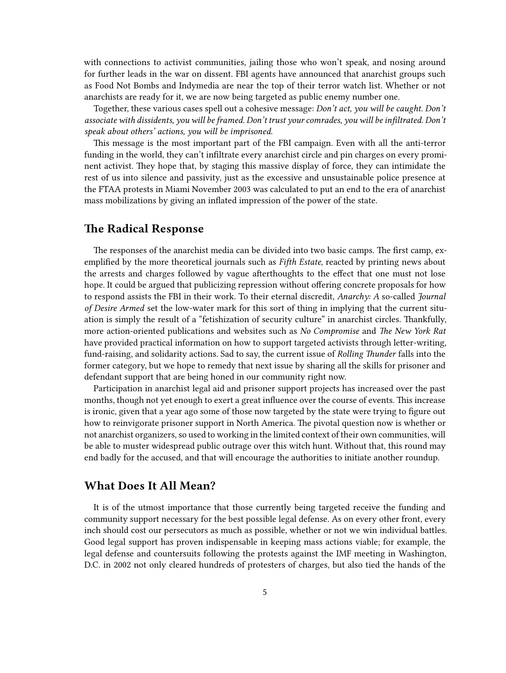with connections to activist communities, jailing those who won't speak, and nosing around for further leads in the war on dissent. FBI agents have announced that anarchist groups such as Food Not Bombs and Indymedia are near the top of their terror watch list. Whether or not anarchists are ready for it, we are now being targeted as public enemy number one.

Together, these various cases spell out a cohesive message: *Don't act, you will be caught. Don't associate with dissidents, you will be framed. Don't trust your comrades, you will be infiltrated. Don't speak about others' actions, you will be imprisoned.*

This message is the most important part of the FBI campaign. Even with all the anti-terror funding in the world, they can't infiltrate every anarchist circle and pin charges on every prominent activist. They hope that, by staging this massive display of force, they can intimidate the rest of us into silence and passivity, just as the excessive and unsustainable police presence at the FTAA protests in Miami November 2003 was calculated to put an end to the era of anarchist mass mobilizations by giving an inflated impression of the power of the state.

## <span id="page-4-0"></span>**The Radical Response**

The responses of the anarchist media can be divided into two basic camps. The first camp, exemplified by the more theoretical journals such as *Fifth Estate*, reacted by printing news about the arrests and charges followed by vague afterthoughts to the effect that one must not lose hope. It could be argued that publicizing repression without offering concrete proposals for how to respond assists the FBI in their work. To their eternal discredit, *Anarchy: A* so-called *Journal of Desire Armed* set the low-water mark for this sort of thing in implying that the current situation is simply the result of a "fetishization of security culture" in anarchist circles. Thankfully, more action-oriented publications and websites such as *No Compromise* and *The New York Rat* have provided practical information on how to support targeted activists through letter-writing, fund-raising, and solidarity actions. Sad to say, the current issue of *Rolling Thunder* falls into the former category, but we hope to remedy that next issue by sharing all the skills for prisoner and defendant support that are being honed in our community right now.

Participation in anarchist legal aid and prisoner support projects has increased over the past months, though not yet enough to exert a great influence over the course of events. This increase is ironic, given that a year ago some of those now targeted by the state were trying to figure out how to reinvigorate prisoner support in North America. The pivotal question now is whether or not anarchist organizers, so used to working in the limited context of their own communities, will be able to muster widespread public outrage over this witch hunt. Without that, this round may end badly for the accused, and that will encourage the authorities to initiate another roundup.

#### <span id="page-4-1"></span>**What Does It All Mean?**

It is of the utmost importance that those currently being targeted receive the funding and community support necessary for the best possible legal defense. As on every other front, every inch should cost our persecutors as much as possible, whether or not we win individual battles. Good legal support has proven indispensable in keeping mass actions viable; for example, the legal defense and countersuits following the protests against the IMF meeting in Washington, D.C. in 2002 not only cleared hundreds of protesters of charges, but also tied the hands of the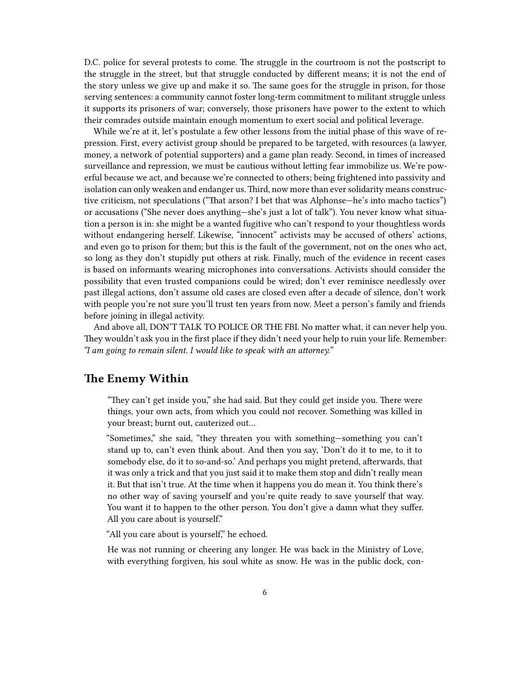D.C. police for several protests to come. The struggle in the courtroom is not the postscript to the struggle in the street, but that struggle conducted by different means; it is not the end of the story unless we give up and make it so. The same goes for the struggle in prison, for those serving sentences: a community cannot foster long-term commitment to militant struggle unless it supports its prisoners of war; conversely, those prisoners have power to the extent to which their comrades outside maintain enough momentum to exert social and political leverage.

While we're at it, let's postulate a few other lessons from the initial phase of this wave of repression. First, every activist group should be prepared to be targeted, with resources (a lawyer, money, a network of potential supporters) and a game plan ready. Second, in times of increased surveillance and repression, we must be cautious without letting fear immobilize us. We're powerful because we act, and because we're connected to others; being frightened into passivity and isolation can only weaken and endanger us. Third, now more than ever solidarity means constructive criticism, not speculations ("That arson? I bet that was Alphonse—he's into macho tactics") or accusations ("She never does anything—she's just a lot of talk"). You never know what situation a person is in: she might be a wanted fugitive who can't respond to your thoughtless words without endangering herself. Likewise, "innocent" activists may be accused of others' actions, and even go to prison for them; but this is the fault of the government, not on the ones who act, so long as they don't stupidly put others at risk. Finally, much of the evidence in recent cases is based on informants wearing microphones into conversations. Activists should consider the possibility that even trusted companions could be wired; don't ever reminisce needlessly over past illegal actions, don't assume old cases are closed even after a decade of silence, don't work with people you're not sure you'll trust ten years from now. Meet a person's family and friends before joining in illegal activity.

And above all, DON'T TALK TO POLICE OR THE FBI. No matter what, it can never help you. They wouldn't ask you in the first place if they didn't need your help to ruin your life. Remember: *"I am going to remain silent. I would like to speak with an attorney."*

### <span id="page-5-0"></span>**The Enemy Within**

"They can't get inside you," she had said. But they could get inside you. There were things, your own acts, from which you could not recover. Something was killed in your breast; burnt out, cauterized out…

"Sometimes," she said, "they threaten you with something—something you can't stand up to, can't even think about. And then you say, 'Don't do it to me, to it to somebody else, do it to so-and-so.' And perhaps you might pretend, afterwards, that it was only a trick and that you just said it to make them stop and didn't really mean it. But that isn't true. At the time when it happens you do mean it. You think there's no other way of saving yourself and you're quite ready to save yourself that way. You want it to happen to the other person. You don't give a damn what they suffer. All you care about is yourself."

"All you care about is yourself," he echoed.

He was not running or cheering any longer. He was back in the Ministry of Love, with everything forgiven, his soul white as snow. He was in the public dock, con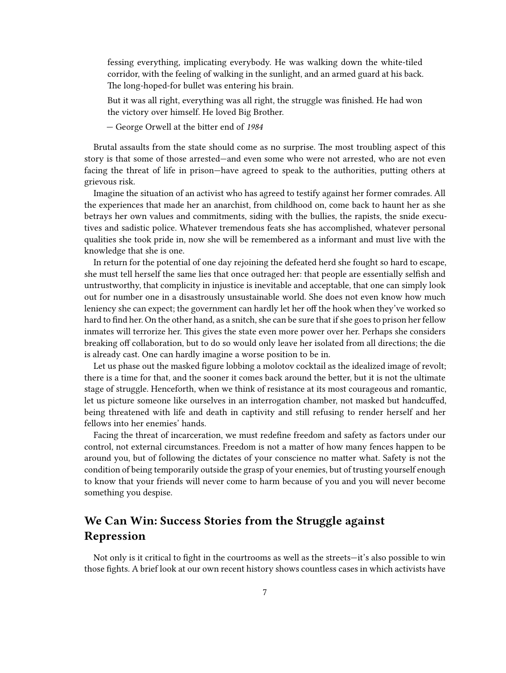fessing everything, implicating everybody. He was walking down the white-tiled corridor, with the feeling of walking in the sunlight, and an armed guard at his back. The long-hoped-for bullet was entering his brain.

But it was all right, everything was all right, the struggle was finished. He had won the victory over himself. He loved Big Brother.

— George Orwell at the bitter end of *1984*

Brutal assaults from the state should come as no surprise. The most troubling aspect of this story is that some of those arrested—and even some who were not arrested, who are not even facing the threat of life in prison—have agreed to speak to the authorities, putting others at grievous risk.

Imagine the situation of an activist who has agreed to testify against her former comrades. All the experiences that made her an anarchist, from childhood on, come back to haunt her as she betrays her own values and commitments, siding with the bullies, the rapists, the snide executives and sadistic police. Whatever tremendous feats she has accomplished, whatever personal qualities she took pride in, now she will be remembered as a informant and must live with the knowledge that she is one.

In return for the potential of one day rejoining the defeated herd she fought so hard to escape, she must tell herself the same lies that once outraged her: that people are essentially selfish and untrustworthy, that complicity in injustice is inevitable and acceptable, that one can simply look out for number one in a disastrously unsustainable world. She does not even know how much leniency she can expect; the government can hardly let her off the hook when they've worked so hard to find her. On the other hand, as a snitch, she can be sure that if she goes to prison her fellow inmates will terrorize her. This gives the state even more power over her. Perhaps she considers breaking off collaboration, but to do so would only leave her isolated from all directions; the die is already cast. One can hardly imagine a worse position to be in.

Let us phase out the masked figure lobbing a molotov cocktail as the idealized image of revolt; there is a time for that, and the sooner it comes back around the better, but it is not the ultimate stage of struggle. Henceforth, when we think of resistance at its most courageous and romantic, let us picture someone like ourselves in an interrogation chamber, not masked but handcuffed, being threatened with life and death in captivity and still refusing to render herself and her fellows into her enemies' hands.

Facing the threat of incarceration, we must redefine freedom and safety as factors under our control, not external circumstances. Freedom is not a matter of how many fences happen to be around you, but of following the dictates of your conscience no matter what. Safety is not the condition of being temporarily outside the grasp of your enemies, but of trusting yourself enough to know that your friends will never come to harm because of you and you will never become something you despise.

# <span id="page-6-0"></span>**We Can Win: Success Stories from the Struggle against Repression**

Not only is it critical to fight in the courtrooms as well as the streets—it's also possible to win those fights. A brief look at our own recent history shows countless cases in which activists have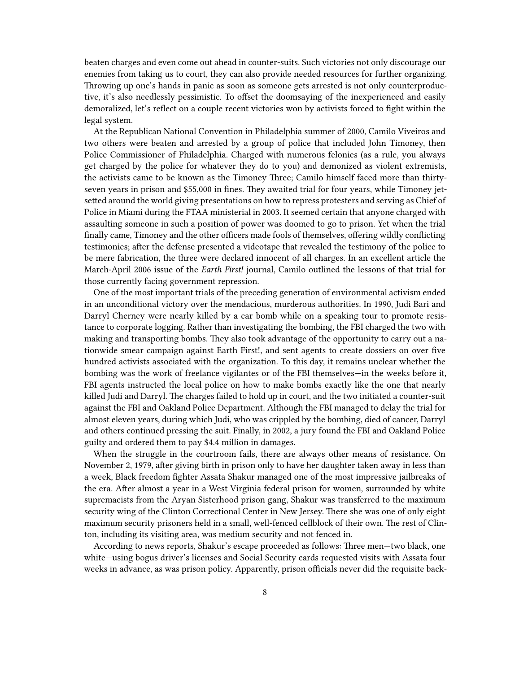beaten charges and even come out ahead in counter-suits. Such victories not only discourage our enemies from taking us to court, they can also provide needed resources for further organizing. Throwing up one's hands in panic as soon as someone gets arrested is not only counterproductive, it's also needlessly pessimistic. To offset the doomsaying of the inexperienced and easily demoralized, let's reflect on a couple recent victories won by activists forced to fight within the legal system.

At the Republican National Convention in Philadelphia summer of 2000, Camilo Viveiros and two others were beaten and arrested by a group of police that included John Timoney, then Police Commissioner of Philadelphia. Charged with numerous felonies (as a rule, you always get charged by the police for whatever they do to you) and demonized as violent extremists, the activists came to be known as the Timoney Three; Camilo himself faced more than thirtyseven years in prison and \$55,000 in fines. They awaited trial for four years, while Timoney jetsetted around the world giving presentations on how to repress protesters and serving as Chief of Police in Miami during the FTAA ministerial in 2003. It seemed certain that anyone charged with assaulting someone in such a position of power was doomed to go to prison. Yet when the trial finally came, Timoney and the other officers made fools of themselves, offering wildly conflicting testimonies; after the defense presented a videotape that revealed the testimony of the police to be mere fabrication, the three were declared innocent of all charges. In an excellent article the March-April 2006 issue of the *Earth First!* journal, Camilo outlined the lessons of that trial for those currently facing government repression.

One of the most important trials of the preceding generation of environmental activism ended in an unconditional victory over the mendacious, murderous authorities. In 1990, Judi Bari and Darryl Cherney were nearly killed by a car bomb while on a speaking tour to promote resistance to corporate logging. Rather than investigating the bombing, the FBI charged the two with making and transporting bombs. They also took advantage of the opportunity to carry out a nationwide smear campaign against Earth First!, and sent agents to create dossiers on over five hundred activists associated with the organization. To this day, it remains unclear whether the bombing was the work of freelance vigilantes or of the FBI themselves—in the weeks before it, FBI agents instructed the local police on how to make bombs exactly like the one that nearly killed Judi and Darryl. The charges failed to hold up in court, and the two initiated a counter-suit against the FBI and Oakland Police Department. Although the FBI managed to delay the trial for almost eleven years, during which Judi, who was crippled by the bombing, died of cancer, Darryl and others continued pressing the suit. Finally, in 2002, a jury found the FBI and Oakland Police guilty and ordered them to pay \$4.4 million in damages.

When the struggle in the courtroom fails, there are always other means of resistance. On November 2, 1979, after giving birth in prison only to have her daughter taken away in less than a week, Black freedom fighter Assata Shakur managed one of the most impressive jailbreaks of the era. After almost a year in a West Virginia federal prison for women, surrounded by white supremacists from the Aryan Sisterhood prison gang, Shakur was transferred to the maximum security wing of the Clinton Correctional Center in New Jersey. There she was one of only eight maximum security prisoners held in a small, well-fenced cellblock of their own. The rest of Clinton, including its visiting area, was medium security and not fenced in.

According to news reports, Shakur's escape proceeded as follows: Three men—two black, one white—using bogus driver's licenses and Social Security cards requested visits with Assata four weeks in advance, as was prison policy. Apparently, prison officials never did the requisite back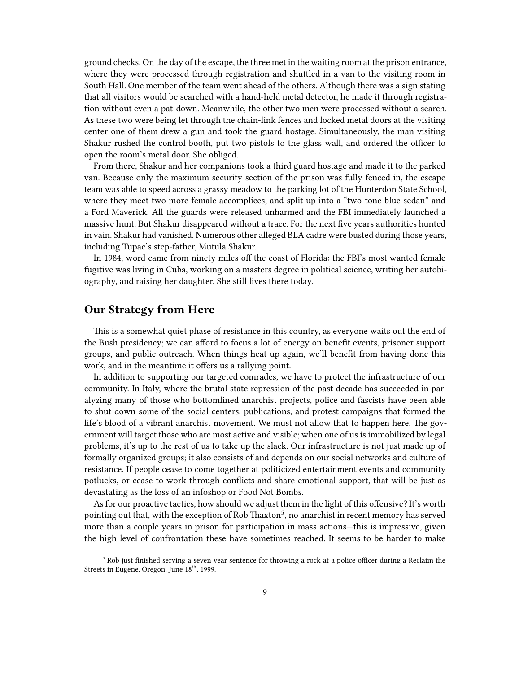ground checks. On the day of the escape, the three met in the waiting room at the prison entrance, where they were processed through registration and shuttled in a van to the visiting room in South Hall. One member of the team went ahead of the others. Although there was a sign stating that all visitors would be searched with a hand-held metal detector, he made it through registration without even a pat-down. Meanwhile, the other two men were processed without a search. As these two were being let through the chain-link fences and locked metal doors at the visiting center one of them drew a gun and took the guard hostage. Simultaneously, the man visiting Shakur rushed the control booth, put two pistols to the glass wall, and ordered the officer to open the room's metal door. She obliged.

From there, Shakur and her companions took a third guard hostage and made it to the parked van. Because only the maximum security section of the prison was fully fenced in, the escape team was able to speed across a grassy meadow to the parking lot of the Hunterdon State School, where they meet two more female accomplices, and split up into a "two-tone blue sedan" and a Ford Maverick. All the guards were released unharmed and the FBI immediately launched a massive hunt. But Shakur disappeared without a trace. For the next five years authorities hunted in vain. Shakur had vanished. Numerous other alleged BLA cadre were busted during those years, including Tupac's step-father, Mutula Shakur.

In 1984, word came from ninety miles off the coast of Florida: the FBI's most wanted female fugitive was living in Cuba, working on a masters degree in political science, writing her autobiography, and raising her daughter. She still lives there today.

## <span id="page-8-0"></span>**Our Strategy from Here**

This is a somewhat quiet phase of resistance in this country, as everyone waits out the end of the Bush presidency; we can afford to focus a lot of energy on benefit events, prisoner support groups, and public outreach. When things heat up again, we'll benefit from having done this work, and in the meantime it offers us a rallying point.

In addition to supporting our targeted comrades, we have to protect the infrastructure of our community. In Italy, where the brutal state repression of the past decade has succeeded in paralyzing many of those who bottomlined anarchist projects, police and fascists have been able to shut down some of the social centers, publications, and protest campaigns that formed the life's blood of a vibrant anarchist movement. We must not allow that to happen here. The government will target those who are most active and visible; when one of us is immobilized by legal problems, it's up to the rest of us to take up the slack. Our infrastructure is not just made up of formally organized groups; it also consists of and depends on our social networks and culture of resistance. If people cease to come together at politicized entertainment events and community potlucks, or cease to work through conflicts and share emotional support, that will be just as devastating as the loss of an infoshop or Food Not Bombs.

As for our proactive tactics, how should we adjust them in the light of this offensive? It's worth pointing out that, with the exception of Rob Thaxton<sup>5</sup>, no anarchist in recent memory has served more than a couple years in prison for participation in mass actions—this is impressive, given the high level of confrontation these have sometimes reached. It seems to be harder to make

 $5$  Rob just finished serving a seven year sentence for throwing a rock at a police officer during a Reclaim the Streets in Eugene, Oregon, June 18<sup>th</sup>, 1999.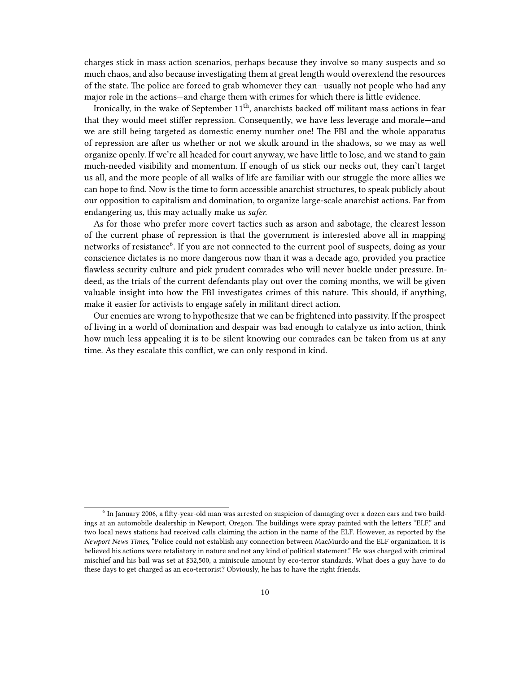charges stick in mass action scenarios, perhaps because they involve so many suspects and so much chaos, and also because investigating them at great length would overextend the resources of the state. The police are forced to grab whomever they can—usually not people who had any major role in the actions—and charge them with crimes for which there is little evidence.

Ironically, in the wake of September 11<sup>th</sup>, anarchists backed off militant mass actions in fear that they would meet stiffer repression. Consequently, we have less leverage and morale—and we are still being targeted as domestic enemy number one! The FBI and the whole apparatus of repression are after us whether or not we skulk around in the shadows, so we may as well organize openly. If we're all headed for court anyway, we have little to lose, and we stand to gain much-needed visibility and momentum. If enough of us stick our necks out, they can't target us all, and the more people of all walks of life are familiar with our struggle the more allies we can hope to find. Now is the time to form accessible anarchist structures, to speak publicly about our opposition to capitalism and domination, to organize large-scale anarchist actions. Far from endangering us, this may actually make us *safer.*

As for those who prefer more covert tactics such as arson and sabotage, the clearest lesson of the current phase of repression is that the government is interested above all in mapping networks of resistance<sup>6</sup>. If you are not connected to the current pool of suspects, doing as your conscience dictates is no more dangerous now than it was a decade ago, provided you practice flawless security culture and pick prudent comrades who will never buckle under pressure. Indeed, as the trials of the current defendants play out over the coming months, we will be given valuable insight into how the FBI investigates crimes of this nature. This should, if anything, make it easier for activists to engage safely in militant direct action.

Our enemies are wrong to hypothesize that we can be frightened into passivity. If the prospect of living in a world of domination and despair was bad enough to catalyze us into action, think how much less appealing it is to be silent knowing our comrades can be taken from us at any time. As they escalate this conflict, we can only respond in kind.

 $^6$  In January 2006, a fifty-year-old man was arrested on suspicion of damaging over a dozen cars and two buildings at an automobile dealership in Newport, Oregon. The buildings were spray painted with the letters "ELF," and two local news stations had received calls claiming the action in the name of the ELF. However, as reported by the *Newport News Times*, "Police could not establish any connection between MacMurdo and the ELF organization. It is believed his actions were retaliatory in nature and not any kind of political statement." He was charged with criminal mischief and his bail was set at \$32,500, a miniscule amount by eco-terror standards. What does a guy have to do these days to get charged as an eco-terrorist? Obviously, he has to have the right friends.